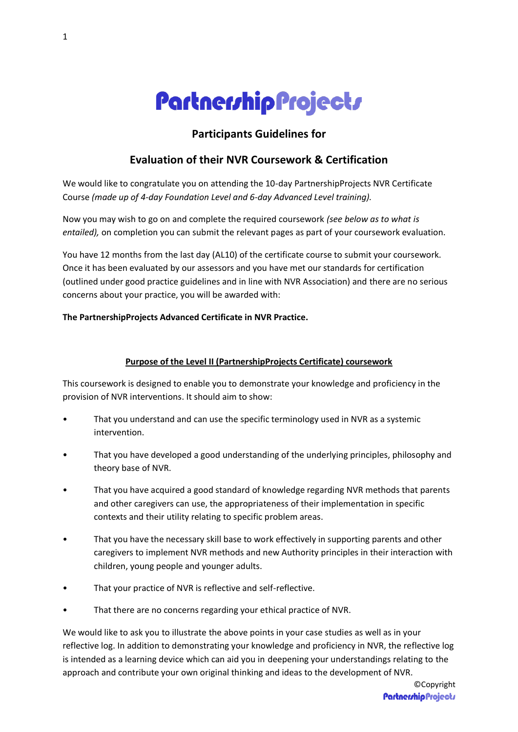# PartnershipProjects

## **Participants Guidelines for**

## **Evaluation of their NVR Coursework & Certification**

We would like to congratulate you on attending the 10-day PartnershipProjects NVR Certificate Course *(made up of 4-day Foundation Level and 6-day Advanced Level training).* 

Now you may wish to go on and complete the required coursework *(see below as to what is entailed),* on completion you can submit the relevant pages as part of your coursework evaluation.

You have 12 months from the last day (AL10) of the certificate course to submit your coursework. Once it has been evaluated by our assessors and you have met our standards for certification (outlined under good practice guidelines and in line with NVR Association) and there are no serious concerns about your practice, you will be awarded with:

#### **The PartnershipProjects Advanced Certificate in NVR Practice.**

#### **Purpose of the Level II (PartnershipProjects Certificate) coursework**

This coursework is designed to enable you to demonstrate your knowledge and proficiency in the provision of NVR interventions. It should aim to show:

- That you understand and can use the specific terminology used in NVR as a systemic intervention.
- That you have developed a good understanding of the underlying principles, philosophy and theory base of NVR.
- That you have acquired a good standard of knowledge regarding NVR methods that parents and other caregivers can use, the appropriateness of their implementation in specific contexts and their utility relating to specific problem areas.
- That you have the necessary skill base to work effectively in supporting parents and other caregivers to implement NVR methods and new Authority principles in their interaction with children, young people and younger adults.
- That your practice of NVR is reflective and self-reflective.
- That there are no concerns regarding your ethical practice of NVR.

We would like to ask you to illustrate the above points in your case studies as well as in your reflective log. In addition to demonstrating your knowledge and proficiency in NVR, the reflective log is intended as a learning device which can aid you in deepening your understandings relating to the approach and contribute your own original thinking and ideas to the development of NVR.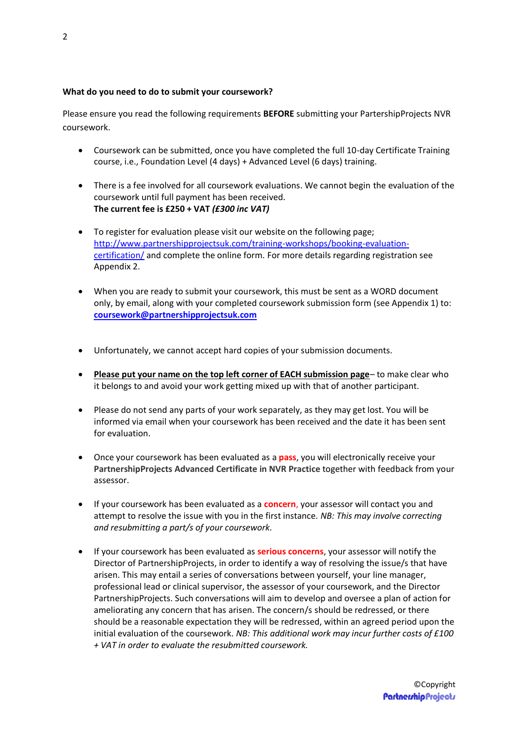#### **What do you need to do to submit your coursework?**

Please ensure you read the following requirements **BEFORE** submitting your PartershipProjects NVR coursework.

- Coursework can be submitted, once you have completed the full 10-day Certificate Training course, i.e., Foundation Level (4 days) + Advanced Level (6 days) training.
- There is a fee involved for all coursework evaluations. We cannot begin the evaluation of the coursework until full payment has been received. **The current fee is £250 + VAT** *(£300 inc VAT)*
- To register for evaluation please visit our website on the following page; [http://www.partnershipprojectsuk.com/training-workshops/booking-evaluation](http://www.partnershipprojectsuk.com/training-workshops/booking-evaluation-certification/)[certification/](http://www.partnershipprojectsuk.com/training-workshops/booking-evaluation-certification/) and complete the online form. For more details regarding registration see Appendix 2.
- When you are ready to submit your coursework, this must be sent as a WORD document only, by email, along with your completed coursework submission form (see Appendix 1) to: **[coursework@partnershipprojectsuk.com](mailto:coursework@partnershipprojectsuk.com)**
- Unfortunately, we cannot accept hard copies of your submission documents.
- **Please put your name on the top left corner of EACH submission page** to make clear who it belongs to and avoid your work getting mixed up with that of another participant.
- Please do not send any parts of your work separately, as they may get lost. You will be informed via email when your coursework has been received and the date it has been sent for evaluation.
- Once your coursework has been evaluated as a **pass**, you will electronically receive your **PartnershipProjects Advanced Certificate in NVR Practice** together with feedback from your assessor.
- If your coursework has been evaluated as a **concern**, your assessor will contact you and attempt to resolve the issue with you in the first instance. *NB: This may involve correcting and resubmitting a part/s of your coursework.*
- If your coursework has been evaluated as **serious concerns**, your assessor will notify the Director of PartnershipProjects, in order to identify a way of resolving the issue/s that have arisen. This may entail a series of conversations between yourself, your line manager, professional lead or clinical supervisor, the assessor of your coursework, and the Director PartnershipProjects. Such conversations will aim to develop and oversee a plan of action for ameliorating any concern that has arisen. The concern/s should be redressed, or there should be a reasonable expectation they will be redressed, within an agreed period upon the initial evaluation of the coursework. *NB: This additional work may incur further costs of £100 + VAT in order to evaluate the resubmitted coursework.*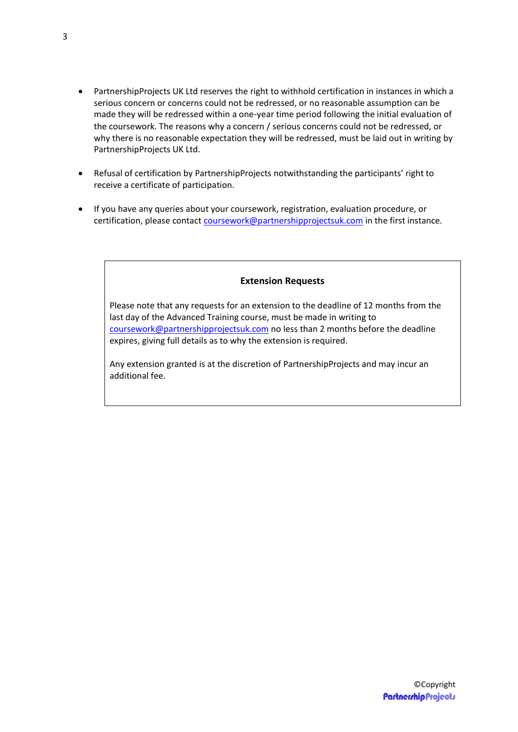- PartnershipProjects UK Ltd reserves the right to withhold certification in instances in which a serious concern or concerns could not be redressed, or no reasonable assumption can be made they will be redressed within a one-year time period following the initial evaluation of the coursework. The reasons why a concern / serious concerns could not be redressed, or why there is no reasonable expectation they will be redressed, must be laid out in writing by PartnershipProjects UK Ltd.
- Refusal of certification by PartnershipProjects notwithstanding the participants' right to receive a certificate of participation.
- If you have any queries about your coursework, registration, evaluation procedure, or certification, please contact [coursework@partnershipprojectsuk.com](mailto:coursework@partnershipprojectsuk.com) in the first instance.

#### **Extension Requests**

Please note that any requests for an extension to the deadline of 12 months from the last day of the Advanced Training course, must be made in writing to [coursework@partnershipprojectsuk.com](mailto:coursework@partnershipprojectsuk.com) no less than 2 months before the deadline expires, giving full details as to why the extension is required.

Any extension granted is at the discretion of PartnershipProjects and may incur an additional fee.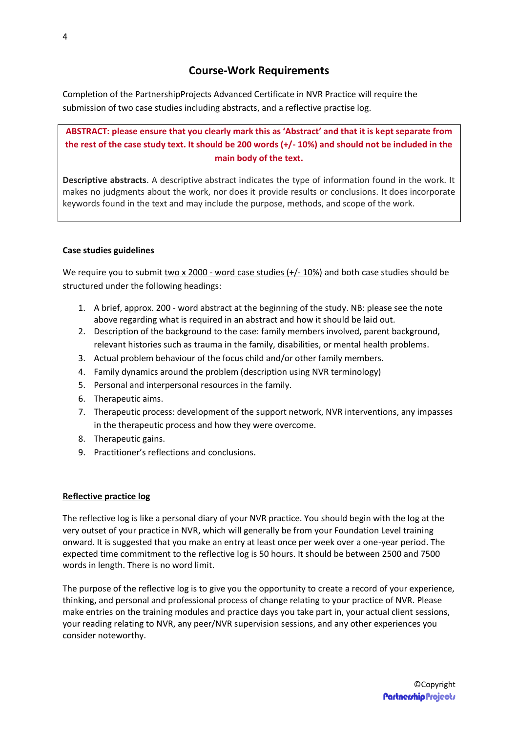Completion of the PartnershipProjects Advanced Certificate in NVR Practice will require the submission of two case studies including abstracts, and a reflective practise log.

**ABSTRACT: please ensure that you clearly mark this as 'Abstract' and that it is kept separate from the rest of the case study text. It should be 200 words (+/- 10%) and should not be included in the main body of the text.** 

**Descriptive abstracts**. A descriptive abstract indicates the type of information found in the work. It makes no judgments about the work, nor does it provide results or conclusions. It does incorporate keywords found in the text and may include the purpose, methods, and scope of the work.

### **Case studies guidelines**

We require you to submit two x 2000 - word case studies (+/- 10%) and both case studies should be structured under the following headings:

- 1. A brief, approx. 200 word abstract at the beginning of the study. NB: please see the note above regarding what is required in an abstract and how it should be laid out.
- 2. Description of the background to the case: family members involved, parent background, relevant histories such as trauma in the family, disabilities, or mental health problems.
- 3. Actual problem behaviour of the focus child and/or other family members.
- 4. Family dynamics around the problem (description using NVR terminology)
- 5. Personal and interpersonal resources in the family.
- 6. Therapeutic aims.
- 7. Therapeutic process: development of the support network, NVR interventions, any impasses in the therapeutic process and how they were overcome.
- 8. Therapeutic gains.
- 9. Practitioner's reflections and conclusions.

#### **Reflective practice log**

The reflective log is like a personal diary of your NVR practice. You should begin with the log at the very outset of your practice in NVR, which will generally be from your Foundation Level training onward. It is suggested that you make an entry at least once per week over a one-year period. The expected time commitment to the reflective log is 50 hours. It should be between 2500 and 7500 words in length. There is no word limit.

The purpose of the reflective log is to give you the opportunity to create a record of your experience, thinking, and personal and professional process of change relating to your practice of NVR. Please make entries on the training modules and practice days you take part in, your actual client sessions, your reading relating to NVR, any peer/NVR supervision sessions, and any other experiences you consider noteworthy.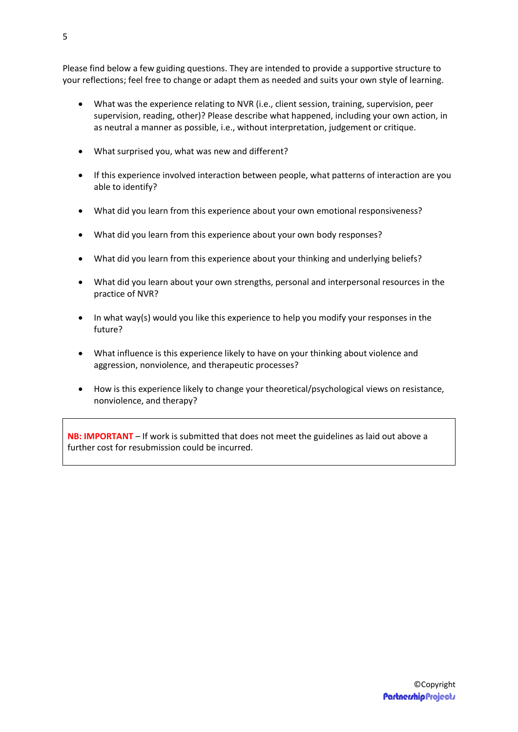Please find below a few guiding questions. They are intended to provide a supportive structure to your reflections; feel free to change or adapt them as needed and suits your own style of learning.

- What was the experience relating to NVR (i.e., client session, training, supervision, peer supervision, reading, other)? Please describe what happened, including your own action, in as neutral a manner as possible, i.e., without interpretation, judgement or critique.
- What surprised you, what was new and different?
- If this experience involved interaction between people, what patterns of interaction are you able to identify?
- What did you learn from this experience about your own emotional responsiveness?
- What did you learn from this experience about your own body responses?
- What did you learn from this experience about your thinking and underlying beliefs?
- What did you learn about your own strengths, personal and interpersonal resources in the practice of NVR?
- In what way(s) would you like this experience to help you modify your responses in the future?
- What influence is this experience likely to have on your thinking about violence and aggression, nonviolence, and therapeutic processes?
- How is this experience likely to change your theoretical/psychological views on resistance, nonviolence, and therapy?

**NB: IMPORTANT** – If work is submitted that does not meet the guidelines as laid out above a further cost for resubmission could be incurred.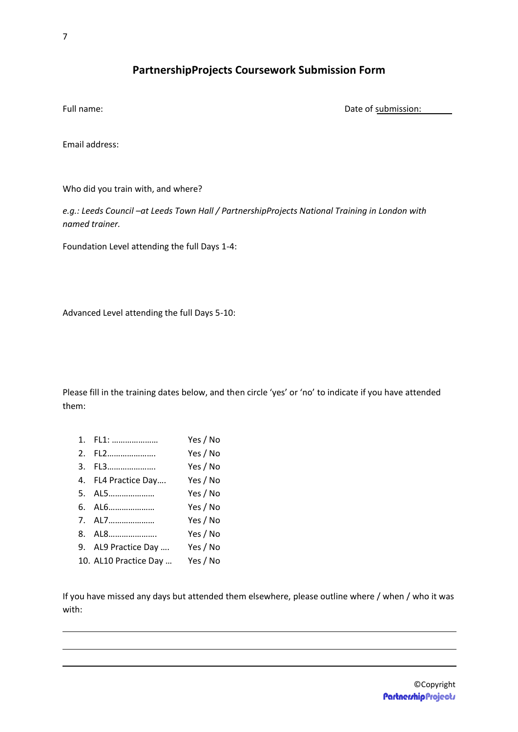## **PartnershipProjects Coursework Submission Form**

Full name:  $\Box$  Date of submission:

Email address:

Who did you train with, and where?

*e.g.: Leeds Council –at Leeds Town Hall / PartnershipProjects National Training in London with named trainer.* 

Foundation Level attending the full Days 1-4:

Advanced Level attending the full Days 5-10:

Please fill in the training dates below, and then circle 'yes' or 'no' to indicate if you have attended them:

| 1. FL1:               | Yes / No |
|-----------------------|----------|
| 2. FL2                | Yes / No |
| 3. FL3                | Yes / No |
| 4. FL4 Practice Day   | Yes / No |
| 5. AL5                | Yes / No |
| 6. AL6                | Yes / No |
| 7. AL7                | Yes / No |
| 8. AL8                | Yes / No |
| 9. AL9 Practice Day   | Yes / No |
| 10. AL10 Practice Day | Yes / No |
|                       |          |

If you have missed any days but attended them elsewhere, please outline where / when / who it was with: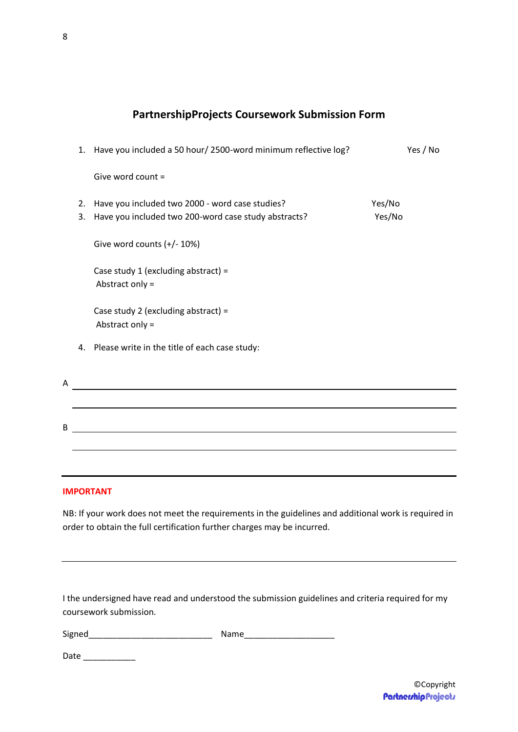# **PartnershipProjects Coursework Submission Form**

| 1.       | Have you included a 50 hour/ 2500-word minimum reflective log?                                          | Yes / No         |
|----------|---------------------------------------------------------------------------------------------------------|------------------|
|          | Give word count =                                                                                       |                  |
| 2.<br>3. | Have you included two 2000 - word case studies?<br>Have you included two 200-word case study abstracts? | Yes/No<br>Yes/No |
|          | Give word counts (+/- 10%)                                                                              |                  |
|          | Case study 1 (excluding abstract) =<br>Abstract only =                                                  |                  |
|          | Case study 2 (excluding abstract) =<br>Abstract only =                                                  |                  |
| 4.       | Please write in the title of each case study:                                                           |                  |
|          |                                                                                                         |                  |
|          |                                                                                                         |                  |
|          |                                                                                                         |                  |
|          |                                                                                                         |                  |
|          |                                                                                                         |                  |

## **IMPORTANT**

A

B

NB: If your work does not meet the requirements in the guidelines and additional work is required in order to obtain the full certification further charges may be incurred.

I the undersigned have read and understood the submission guidelines and criteria required for my coursework submission.

Signed **Samuel Signed Signed Signed Signed Signed Signed Signed Signed Signed Signed Signed Signed Signed Signed Signed Signed Signed Signed Signed Signed Signed Signed Signed**

Date \_\_\_\_\_\_\_\_\_\_\_